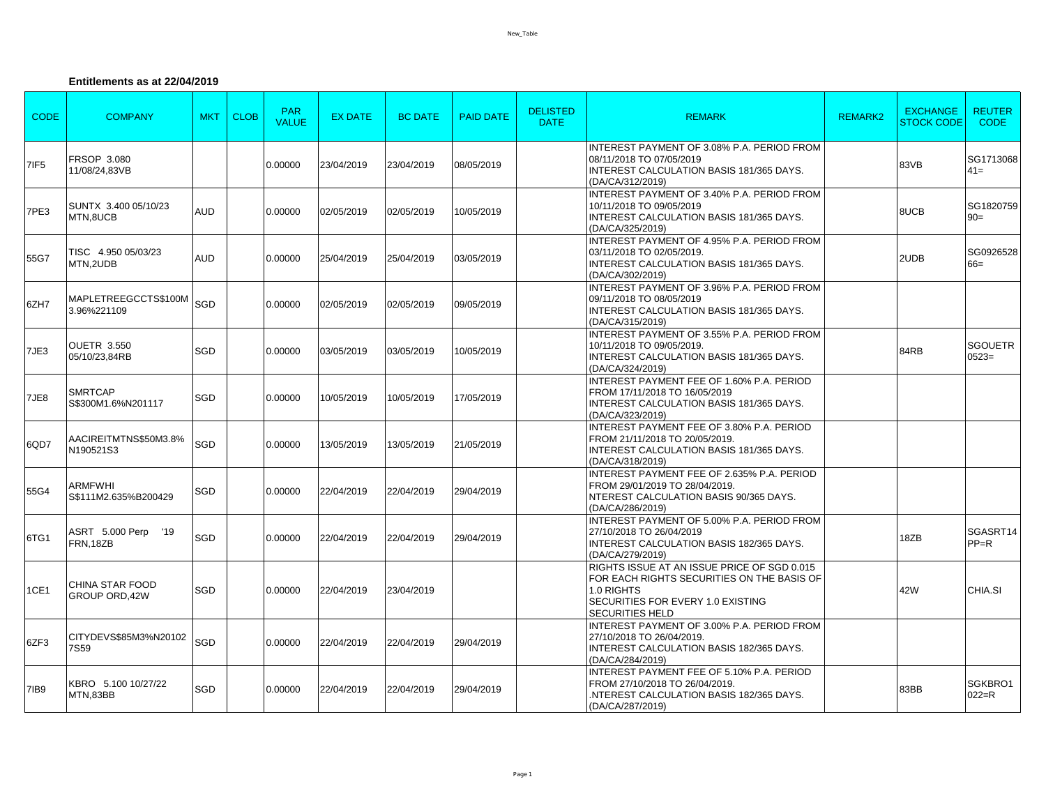## **Entitlements as at 22/04/2019**

| <b>CODE</b>      | <b>COMPANY</b>                         | <b>MKT</b> | <b>CLOB</b> | <b>PAR</b><br><b>VALUE</b> | <b>EX DATE</b> | <b>BC DATE</b> | <b>PAID DATE</b> | <b>DELISTED</b><br><b>DATE</b> | <b>REMARK</b>                                                                                                                                                          | <b>REMARK2</b> | <b>EXCHANGE</b><br><b>STOCK CODE</b> | <b>REUTER</b><br><b>CODE</b> |
|------------------|----------------------------------------|------------|-------------|----------------------------|----------------|----------------|------------------|--------------------------------|------------------------------------------------------------------------------------------------------------------------------------------------------------------------|----------------|--------------------------------------|------------------------------|
| 71F <sub>5</sub> | FRSOP 3.080<br>11/08/24,83VB           |            |             | 0.00000                    | 23/04/2019     | 23/04/2019     | 08/05/2019       |                                | INTEREST PAYMENT OF 3.08% P.A. PERIOD FROM<br>08/11/2018 TO 07/05/2019<br>INTEREST CALCULATION BASIS 181/365 DAYS.<br>(DA/CA/312/2019)                                 |                | 83VB                                 | SG1713068<br>$41 =$          |
| 7PE3             | SUNTX 3.400 05/10/23<br>MTN.8UCB       | AUD        |             | 0.00000                    | 02/05/2019     | 02/05/2019     | 10/05/2019       |                                | INTEREST PAYMENT OF 3.40% P.A. PERIOD FROM<br>10/11/2018 TO 09/05/2019<br>INTEREST CALCULATION BASIS 181/365 DAYS.<br>(DA/CA/325/2019)                                 |                | 8UCB                                 | SG1820759<br>$90=$           |
| 55G7             | TISC 4.950 05/03/23<br>MTN.2UDB        | AUD        |             | 0.00000                    | 25/04/2019     | 25/04/2019     | 03/05/2019       |                                | INTEREST PAYMENT OF 4.95% P.A. PERIOD FROM<br>03/11/2018 TO 02/05/2019.<br><b>INTEREST CALCULATION BASIS 181/365 DAYS.</b><br>(DA/CA/302/2019)                         |                | 2UDB                                 | SG0926528<br>$66 =$          |
| 6ZH7             | MAPLETREEGCCTS\$100M<br>3.96%221109    | SGD        |             | 0.00000                    | 02/05/2019     | 02/05/2019     | 09/05/2019       |                                | INTEREST PAYMENT OF 3.96% P.A. PERIOD FROM<br>09/11/2018 TO 08/05/2019<br><b>INTEREST CALCULATION BASIS 181/365 DAYS.</b><br>(DA/CA/315/2019)                          |                |                                      |                              |
| 7JE3             | <b>OUETR 3.550</b><br>05/10/23.84RB    | <b>SGD</b> |             | 0.00000                    | 03/05/2019     | 03/05/2019     | 10/05/2019       |                                | INTEREST PAYMENT OF 3.55% P.A. PERIOD FROM<br>10/11/2018 TO 09/05/2019.<br><b>INTEREST CALCULATION BASIS 181/365 DAYS.</b><br>(DA/CA/324/2019)                         |                | 84RB                                 | SGOUETR<br>$0523=$           |
| 7JE8             | <b>SMRTCAP</b><br>S\$300M1.6%N201117   | SGD        |             | 0.00000                    | 10/05/2019     | 10/05/2019     | 17/05/2019       |                                | INTEREST PAYMENT FEE OF 1.60% P.A. PERIOD<br>FROM 17/11/2018 TO 16/05/2019<br><b>INTEREST CALCULATION BASIS 181/365 DAYS.</b><br>(DA/CA/323/2019)                      |                |                                      |                              |
| 6QD7             | AACIREITMTNS\$50M3.8%<br>N190521S3     | SGD        |             | 0.00000                    | 13/05/2019     | 13/05/2019     | 21/05/2019       |                                | INTEREST PAYMENT FEE OF 3.80% P.A. PERIOD<br>FROM 21/11/2018 TO 20/05/2019.<br>INTEREST CALCULATION BASIS 181/365 DAYS.<br>(DA/CA/318/2019)                            |                |                                      |                              |
| 55G4             | <b>ARMFWHI</b><br>S\$111M2.635%B200429 | SGD        |             | 0.00000                    | 22/04/2019     | 22/04/2019     | 29/04/2019       |                                | INTEREST PAYMENT FEE OF 2.635% P.A. PERIOD<br>FROM 29/01/2019 TO 28/04/2019.<br>NTEREST CALCULATION BASIS 90/365 DAYS.<br>(DA/CA/286/2019)                             |                |                                      |                              |
| 6TG1             | ASRT 5.000 Perp '19<br>FRN.18ZB        | SGD        |             | 0.00000                    | 22/04/2019     | 22/04/2019     | 29/04/2019       |                                | INTEREST PAYMENT OF 5.00% P.A. PERIOD FROM<br>27/10/2018 TO 26/04/2019<br>INTEREST CALCULATION BASIS 182/365 DAYS.<br>(DA/CA/279/2019)                                 |                | 18ZB                                 | SGASRT14<br>$PP=R$           |
| 1CE1             | CHINA STAR FOOD<br>GROUP ORD, 42W      | SGD        |             | 0.00000                    | 22/04/2019     | 23/04/2019     |                  |                                | RIGHTS ISSUE AT AN ISSUE PRICE OF SGD 0.015<br>FOR EACH RIGHTS SECURITIES ON THE BASIS OF<br>1.0 RIGHTS<br>SECURITIES FOR EVERY 1.0 EXISTING<br><b>SECURITIES HELD</b> |                | 42W                                  | CHIA.SI                      |
| 6ZF3             | CITYDEVS\$85M3%N20102<br>7S59          | SGD        |             | 0.00000                    | 22/04/2019     | 22/04/2019     | 29/04/2019       |                                | INTEREST PAYMENT OF 3.00% P.A. PERIOD FROM<br>27/10/2018 TO 26/04/2019.<br><b>INTEREST CALCULATION BASIS 182/365 DAYS.</b><br>(DA/CA/284/2019)                         |                |                                      |                              |
| 71B9             | KBRO 5.100 10/27/22<br>MTN.83BB        | SGD        |             | 0.00000                    | 22/04/2019     | 22/04/2019     | 29/04/2019       |                                | INTEREST PAYMENT FEE OF 5.10% P.A. PERIOD<br>FROM 27/10/2018 TO 26/04/2019.<br>NTEREST CALCULATION BASIS 182/365 DAYS.<br>(DA/CA/287/2019)                             |                | 83BB                                 | SGKBRO1<br>$022 = R$         |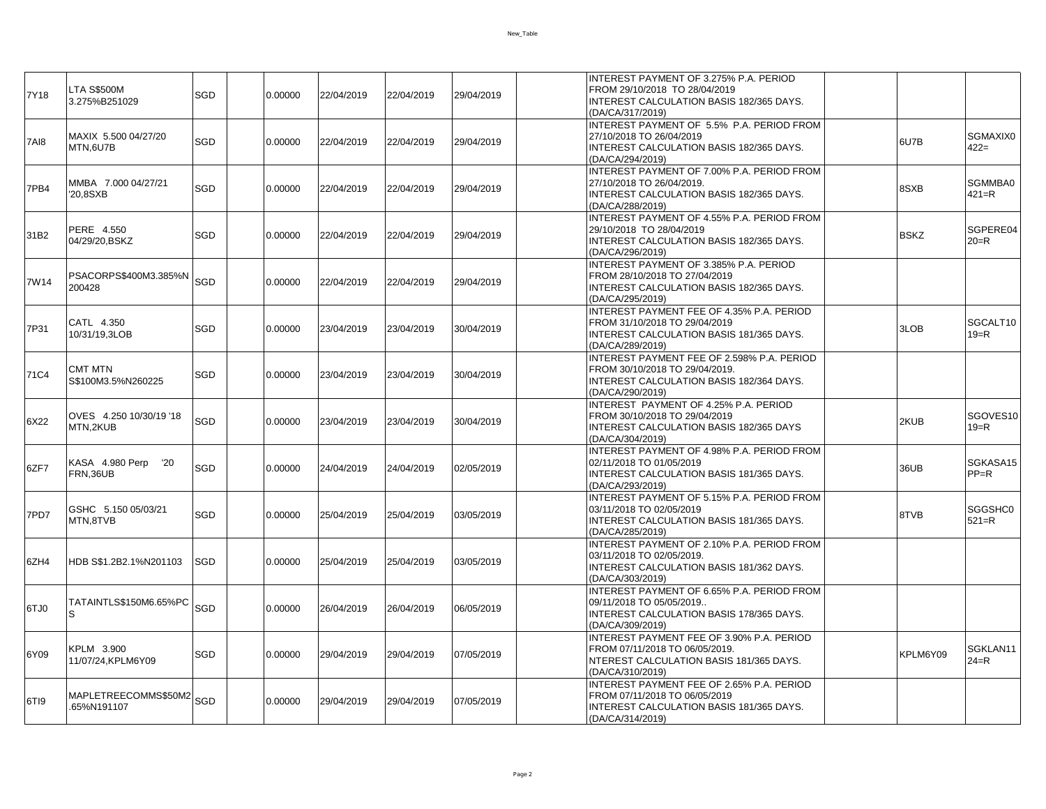| <b>7Y18</b> | <b>LTA S\$500M</b><br>3.275%B251029  | SGD | 0.00000 | 22/04/2019 | 22/04/2019 | 29/04/2019 | INTEREST PAYMENT OF 3.275% P.A. PERIOD<br>FROM 29/10/2018 TO 28/04/2019<br>INTEREST CALCULATION BASIS 182/365 DAYS.<br>(DA/CA/317/2019)           |             |                      |
|-------------|--------------------------------------|-----|---------|------------|------------|------------|---------------------------------------------------------------------------------------------------------------------------------------------------|-------------|----------------------|
| 7AI8        | MAXIX 5.500 04/27/20<br>MTN,6U7B     | SGD | 0.00000 | 22/04/2019 | 22/04/2019 | 29/04/2019 | INTEREST PAYMENT OF 5.5% P.A. PERIOD FROM<br>27/10/2018 TO 26/04/2019<br><b>INTEREST CALCULATION BASIS 182/365 DAYS.</b><br>(DA/CA/294/2019)      | 6U7B        | SGMAXIX0<br>$422 =$  |
| 7PB4        | MMBA 7.000 04/27/21<br>'20,8SXB      | SGD | 0.00000 | 22/04/2019 | 22/04/2019 | 29/04/2019 | INTEREST PAYMENT OF 7.00% P.A. PERIOD FROM<br>27/10/2018 TO 26/04/2019.<br>INTEREST CALCULATION BASIS 182/365 DAYS.<br>(DA/CA/288/2019)           | 8SXB        | SGMMBA0<br>$421 = R$ |
| 31B2        | PERE 4.550<br>04/29/20, BSKZ         | SGD | 0.00000 | 22/04/2019 | 22/04/2019 | 29/04/2019 | INTEREST PAYMENT OF 4.55% P.A. PERIOD FROM<br>29/10/2018 TO 28/04/2019<br>INTEREST CALCULATION BASIS 182/365 DAYS.<br>(DA/CA/296/2019)            | <b>BSKZ</b> | SGPERE04<br>$20 = R$ |
| 7W14        | PSACORPS\$400M3.385%N<br>200428      | SGD | 0.00000 | 22/04/2019 | 22/04/2019 | 29/04/2019 | INTEREST PAYMENT OF 3.385% P.A. PERIOD<br>FROM 28/10/2018 TO 27/04/2019<br>INTEREST CALCULATION BASIS 182/365 DAYS.<br>(DA/CA/295/2019)           |             |                      |
| 7P31        | CATL 4.350<br>10/31/19,3LOB          | SGD | 0.00000 | 23/04/2019 | 23/04/2019 | 30/04/2019 | INTEREST PAYMENT FEE OF 4.35% P.A. PERIOD<br>FROM 31/10/2018 TO 29/04/2019<br><b>INTEREST CALCULATION BASIS 181/365 DAYS.</b><br>(DA/CA/289/2019) | 3LOB        | SGCALT10<br>$19=R$   |
| 71C4        | <b>CMT MTN</b><br>S\$100M3.5%N260225 | SGD | 0.00000 | 23/04/2019 | 23/04/2019 | 30/04/2019 | INTEREST PAYMENT FEE OF 2.598% P.A. PERIOD<br>FROM 30/10/2018 TO 29/04/2019.<br>INTEREST CALCULATION BASIS 182/364 DAYS.<br>(DA/CA/290/2019)      |             |                      |
| 6X22        | OVES 4.250 10/30/19 '18<br>MTN,2KUB  | SGD | 0.00000 | 23/04/2019 | 23/04/2019 | 30/04/2019 | INTEREST PAYMENT OF 4.25% P.A. PERIOD<br>FROM 30/10/2018 TO 29/04/2019<br><b>INTEREST CALCULATION BASIS 182/365 DAYS</b><br>(DA/CA/304/2019)      | 2KUB        | SGOVES10<br>$19 = R$ |
| 6ZF7        | KASA 4.980 Perp<br>20<br>FRN,36UB    | SGD | 0.00000 | 24/04/2019 | 24/04/2019 | 02/05/2019 | INTEREST PAYMENT OF 4.98% P.A. PERIOD FROM<br>02/11/2018 TO 01/05/2019<br><b>INTEREST CALCULATION BASIS 181/365 DAYS.</b><br>(DA/CA/293/2019)     | 36UB        | SGKASA15<br>$PP = R$ |
| 7PD7        | GSHC 5.150 05/03/21<br>MTN,8TVB      | SGD | 0.00000 | 25/04/2019 | 25/04/2019 | 03/05/2019 | INTEREST PAYMENT OF 5.15% P.A. PERIOD FROM<br>03/11/2018 TO 02/05/2019<br><b>INTEREST CALCULATION BASIS 181/365 DAYS.</b><br>(DA/CA/285/2019)     | 8TVB        | SGGSHC0<br>$521 = R$ |
| 6ZH4        | HDB S\$1.2B2.1%N201103               | SGD | 0.00000 | 25/04/2019 | 25/04/2019 | 03/05/2019 | INTEREST PAYMENT OF 2.10% P.A. PERIOD FROM<br>03/11/2018 TO 02/05/2019.<br>INTEREST CALCULATION BASIS 181/362 DAYS.<br>(DA/CA/303/2019)           |             |                      |
| 6TJ0        | TATAINTLS\$150M6.65%PC<br>ς          | SGD | 0.00000 | 26/04/2019 | 26/04/2019 | 06/05/2019 | INTEREST PAYMENT OF 6.65% P.A. PERIOD FROM<br>09/11/2018 TO 05/05/2019<br>INTEREST CALCULATION BASIS 178/365 DAYS.<br>(DA/CA/309/2019)            |             |                      |
| 6Y09        | KPLM 3.900<br>11/07/24, KPLM6Y09     | SGD | 0.00000 | 29/04/2019 | 29/04/2019 | 07/05/2019 | INTEREST PAYMENT FEE OF 3.90% P.A. PERIOD<br>FROM 07/11/2018 TO 06/05/2019.<br>NTEREST CALCULATION BASIS 181/365 DAYS.<br>(DA/CA/310/2019)        | KPLM6Y09    | SGKLAN11<br>$24 = R$ |
| 6TI9        | MAPLETREECOMMS\$50M2<br>65%N191107   | SGD | 0.00000 | 29/04/2019 | 29/04/2019 | 07/05/2019 | INTEREST PAYMENT FEE OF 2.65% P.A. PERIOD<br>FROM 07/11/2018 TO 06/05/2019<br><b>INTEREST CALCULATION BASIS 181/365 DAYS.</b><br>(DA/CA/314/2019) |             |                      |